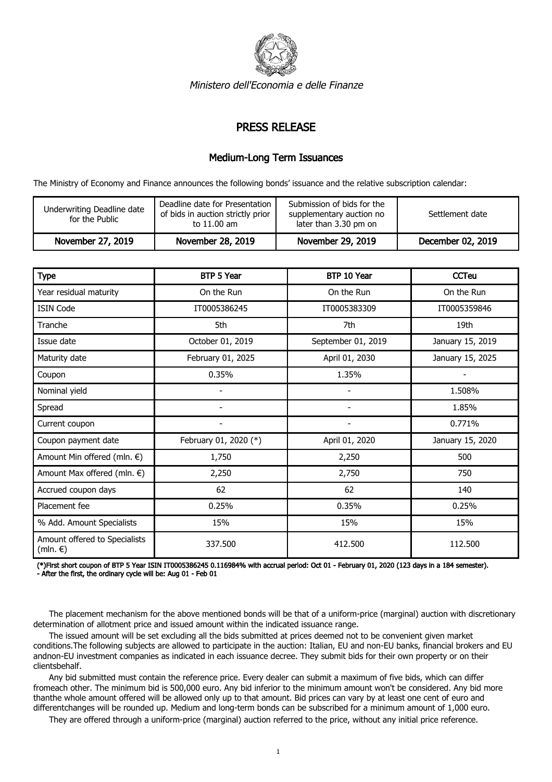

Ministero dell'Economia e delle Finanze

## PRESS RELEASE

## Medium-Long Term Issuances

The Ministry of Economy and Finance announces the following bonds' issuance and the relative subscription calendar:

| Underwriting Deadline date<br>for the Public | Deadline date for Presentation<br>of bids in auction strictly prior<br>to 11.00 am | Submission of bids for the<br>supplementary auction no<br>later than 3.30 pm on | Settlement date   |
|----------------------------------------------|------------------------------------------------------------------------------------|---------------------------------------------------------------------------------|-------------------|
| November 27, 2019                            | November 28, 2019                                                                  | November 29, 2019                                                               | December 02, 2019 |

| <b>Type</b>                                         | BTP 5 Year               | BTP 10 Year              | <b>CCTeu</b>     |
|-----------------------------------------------------|--------------------------|--------------------------|------------------|
| Year residual maturity                              | On the Run               | On the Run               | On the Run       |
| <b>ISIN Code</b>                                    | IT0005386245             | IT0005383309             | IT0005359846     |
| Tranche                                             | 5th                      | 7th                      | 19th             |
| Issue date                                          | October 01, 2019         | September 01, 2019       | January 15, 2019 |
| Maturity date                                       | February 01, 2025        | April 01, 2030           | January 15, 2025 |
| Coupon                                              | 0.35%                    | 1.35%                    |                  |
| Nominal yield                                       |                          |                          | 1.508%           |
| Spread                                              | $\overline{\phantom{0}}$ | $\overline{\phantom{a}}$ | 1.85%            |
| Current coupon                                      | $\overline{\phantom{a}}$ | $\overline{\phantom{a}}$ | 0.771%           |
| Coupon payment date                                 | February 01, 2020 (*)    | April 01, 2020           | January 15, 2020 |
| Amount Min offered (mln. €)                         | 1,750                    | 2,250                    | 500              |
| Amount Max offered (mln. €)                         | 2,250                    | 2,750                    | 750              |
| Accrued coupon days                                 | 62                       | 62                       | 140              |
| Placement fee                                       | 0.25%                    | 0.35%                    | 0.25%            |
| % Add. Amount Specialists                           | 15%                      | 15%                      | 15%              |
| Amount offered to Specialists<br>(mln. $\epsilon$ ) | 337.500                  | 412.500                  | 112.500          |

(\*)First short coupon of BTP 5 Year ISIN IT0005386245 0.116984% with accrual period: Oct 01 - February 01, 2020 (123 days in a 184 semester). - After the first, the ordinary cycle will be: Aug 01 - Feb 01

 The placement mechanism for the above mentioned bonds will be that of a uniform-price (marginal) auction with discretionary determination of allotment price and issued amount within the indicated issuance range.

 The issued amount will be set excluding all the bids submitted at prices deemed not to be convenient given market conditions.The following subjects are allowed to participate in the auction: Italian, EU and non-EU banks, financial brokers and EU andnon-EU investment companies as indicated in each issuance decree. They submit bids for their own property or on their clientsbehalf.

 Any bid submitted must contain the reference price. Every dealer can submit a maximum of five bids, which can differ fromeach other. The minimum bid is 500,000 euro. Any bid inferior to the minimum amount won't be considered. Any bid more thanthe whole amount offered will be allowed only up to that amount. Bid prices can vary by at least one cent of euro and differentchanges will be rounded up. Medium and long-term bonds can be subscribed for a minimum amount of 1,000 euro.

They are offered through a uniform-price (marginal) auction referred to the price, without any initial price reference.